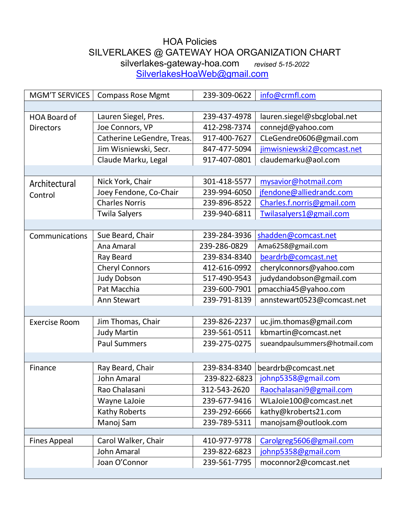## HOA Policies SILVERLAKES @ GATEWAY HOA ORGANIZATION CHART<br>silverlakes-gateway-hoa.com revised 5-15-2022 silverlakes-gateway-hoa.com *revised 5-15-2022*

[SilverlakesHoaWeb@gmail.com](mailto:SilverlakesHoaWeb@gmail.com)

| <b>MGM'T SERVICES</b> | <b>Compass Rose Mgmt</b>   | 239-309-0622 | info@crmfl.com                |
|-----------------------|----------------------------|--------------|-------------------------------|
|                       |                            |              |                               |
| <b>HOA Board of</b>   | Lauren Siegel, Pres.       | 239-437-4978 | lauren.siegel@sbcglobal.net   |
| <b>Directors</b>      | Joe Connors, VP            | 412-298-7374 | connejd@yahoo.com             |
|                       | Catherine LeGendre, Treas. | 917-400-7627 | CLeGendre0606@gmail.com       |
|                       | Jim Wisniewski, Secr.      | 847-477-5094 | jimwisniewski2@comcast.net    |
|                       | Claude Marku, Legal        | 917-407-0801 | claudemarku@aol.com           |
|                       |                            |              |                               |
| Architectural         | Nick York, Chair           | 301-418-5577 | mysavior@hotmail.com          |
| Control               | Joey Fendone, Co-Chair     | 239-994-6050 | jfendone@alliedrandc.com      |
|                       | <b>Charles Norris</b>      | 239-896-8522 | Charles.f.norris@gmail.com    |
|                       | <b>Twila Salyers</b>       | 239-940-6811 | Twilasalyers1@gmail.com       |
|                       |                            |              |                               |
| Communications        | Sue Beard, Chair           | 239-284-3936 | shadden@comcast.net           |
|                       | Ana Amaral                 | 239-286-0829 | Ama6258@gmail.com             |
|                       | Ray Beard                  | 239-834-8340 | beardrb@comcast.net           |
|                       | <b>Cheryl Connors</b>      | 412-616-0992 | cherylconnors@yahoo.com       |
|                       | <b>Judy Dobson</b>         | 517-490-9543 | judydandobson@gmail.com       |
|                       | Pat Macchia                | 239-600-7901 | pmacchia45@yahoo.com          |
|                       | Ann Stewart                | 239-791-8139 | annstewart0523@comcast.net    |
|                       |                            |              |                               |
| <b>Exercise Room</b>  | Jim Thomas, Chair          | 239-826-2237 | uc.jim.thomas@gmail.com       |
|                       | <b>Judy Martin</b>         | 239-561-0511 | kbmartin@comcast.net          |
|                       | <b>Paul Summers</b>        | 239-275-0275 | sueandpaulsummers@hotmail.com |
|                       |                            |              |                               |
| Finance               | Ray Beard, Chair           | 239-834-8340 | beardrb@comcast.net           |
|                       | <b>John Amaral</b>         | 239-822-6823 | johnp5358@gmail.com           |
|                       | Rao Chalasani              | 312-543-2620 | Raochalasani9@gmail.com       |
|                       | Wayne LaJoie               | 239-677-9416 | WLaJoie100@comcast.net        |
|                       | Kathy Roberts              | 239-292-6666 | kathy@kroberts21.com          |
|                       | Manoj Sam                  | 239-789-5311 | manojsam@outlook.com          |
|                       |                            |              |                               |
| <b>Fines Appeal</b>   | Carol Walker, Chair        | 410-977-9778 | Carolgreg5606@gmail.com       |
|                       | <b>John Amaral</b>         | 239-822-6823 | johnp5358@gmail.com           |
|                       | Joan O'Connor              | 239-561-7795 | moconnor2@comcast.net         |
|                       |                            |              |                               |